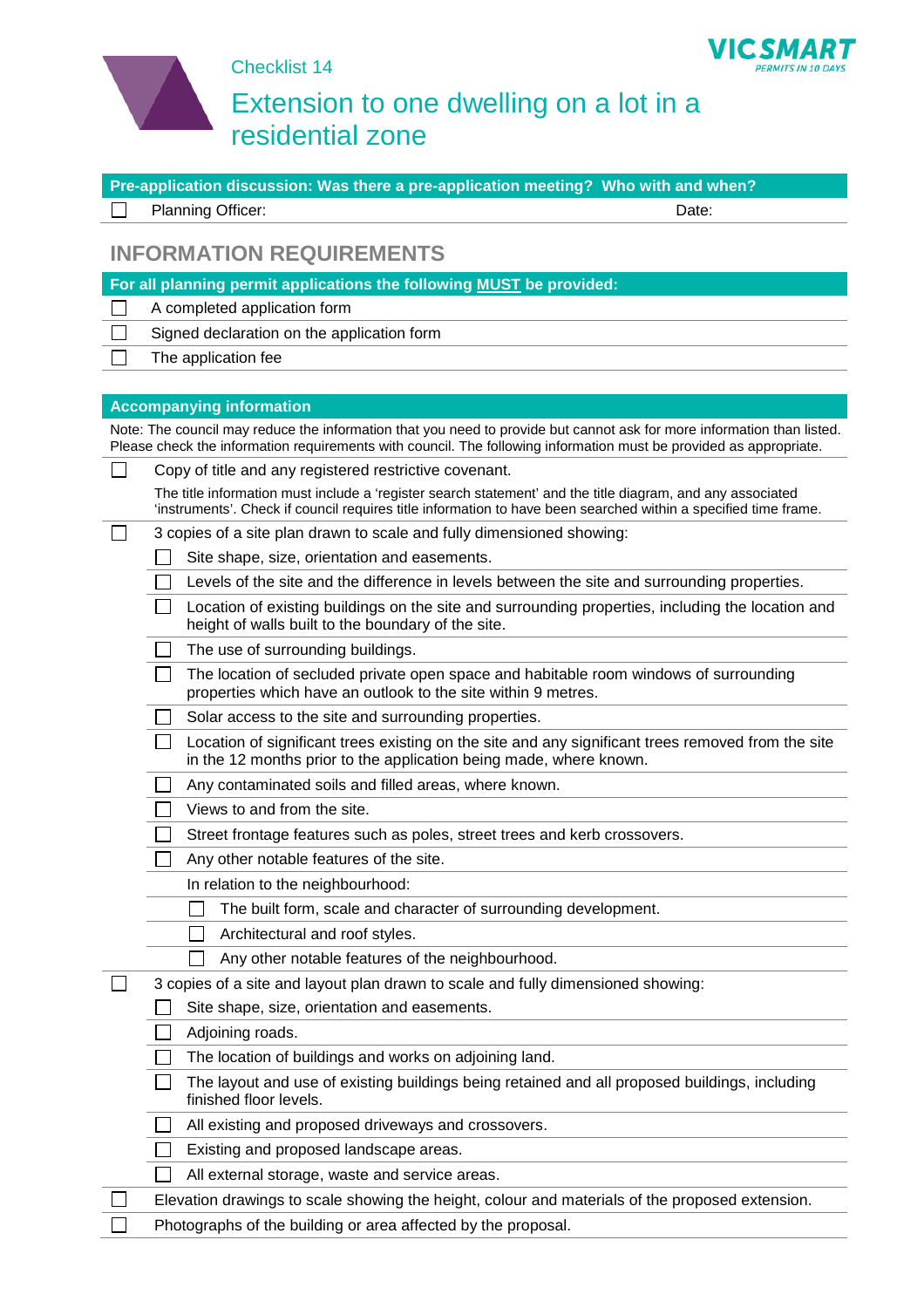

Checklist 14

## Extension to one dwelling on a lot in a residential zone

**VICS** 

*MART* PERMITS IN 10 DAYS

| Pre-application discussion: Was there a pre-application meeting? Who with and when? |                                                                                                                                                                                                                                              |       |
|-------------------------------------------------------------------------------------|----------------------------------------------------------------------------------------------------------------------------------------------------------------------------------------------------------------------------------------------|-------|
|                                                                                     | Planning Officer:                                                                                                                                                                                                                            | Date: |
|                                                                                     | <b>INFORMATION REQUIREMENTS</b>                                                                                                                                                                                                              |       |
|                                                                                     | For all planning permit applications the following MUST be provided:                                                                                                                                                                         |       |
|                                                                                     | A completed application form                                                                                                                                                                                                                 |       |
|                                                                                     | Signed declaration on the application form                                                                                                                                                                                                   |       |
|                                                                                     | The application fee                                                                                                                                                                                                                          |       |
|                                                                                     |                                                                                                                                                                                                                                              |       |
|                                                                                     | <b>Accompanying information</b>                                                                                                                                                                                                              |       |
|                                                                                     | Note: The council may reduce the information that you need to provide but cannot ask for more information than listed.<br>Please check the information requirements with council. The following information must be provided as appropriate. |       |
| $\mathsf{L}$                                                                        | Copy of title and any registered restrictive covenant.                                                                                                                                                                                       |       |
|                                                                                     | The title information must include a 'register search statement' and the title diagram, and any associated<br>'instruments'. Check if council requires title information to have been searched within a specified time frame.                |       |
|                                                                                     | 3 copies of a site plan drawn to scale and fully dimensioned showing:                                                                                                                                                                        |       |
|                                                                                     | Site shape, size, orientation and easements.                                                                                                                                                                                                 |       |
|                                                                                     | Levels of the site and the difference in levels between the site and surrounding properties.                                                                                                                                                 |       |
|                                                                                     | Location of existing buildings on the site and surrounding properties, including the location and<br>height of walls built to the boundary of the site.                                                                                      |       |
|                                                                                     | The use of surrounding buildings.                                                                                                                                                                                                            |       |
|                                                                                     | The location of secluded private open space and habitable room windows of surrounding<br>properties which have an outlook to the site within 9 metres.                                                                                       |       |
|                                                                                     | Solar access to the site and surrounding properties.                                                                                                                                                                                         |       |
|                                                                                     | Location of significant trees existing on the site and any significant trees removed from the site<br>in the 12 months prior to the application being made, where known.                                                                     |       |
|                                                                                     | Any contaminated soils and filled areas, where known.                                                                                                                                                                                        |       |
|                                                                                     | Views to and from the site.                                                                                                                                                                                                                  |       |
|                                                                                     | Street frontage features such as poles, street trees and kerb crossovers.                                                                                                                                                                    |       |
|                                                                                     | Any other notable features of the site.                                                                                                                                                                                                      |       |
|                                                                                     | In relation to the neighbourhood:                                                                                                                                                                                                            |       |
|                                                                                     | The built form, scale and character of surrounding development.                                                                                                                                                                              |       |
|                                                                                     | Architectural and roof styles.                                                                                                                                                                                                               |       |
|                                                                                     | Any other notable features of the neighbourhood.                                                                                                                                                                                             |       |
|                                                                                     | 3 copies of a site and layout plan drawn to scale and fully dimensioned showing:                                                                                                                                                             |       |
|                                                                                     | Site shape, size, orientation and easements.                                                                                                                                                                                                 |       |
|                                                                                     | Adjoining roads.                                                                                                                                                                                                                             |       |
|                                                                                     | The location of buildings and works on adjoining land.                                                                                                                                                                                       |       |
|                                                                                     | The layout and use of existing buildings being retained and all proposed buildings, including<br>finished floor levels.                                                                                                                      |       |
|                                                                                     | All existing and proposed driveways and crossovers.                                                                                                                                                                                          |       |
|                                                                                     | Existing and proposed landscape areas.                                                                                                                                                                                                       |       |
|                                                                                     | All external storage, waste and service areas.                                                                                                                                                                                               |       |
|                                                                                     | Elevation drawings to scale showing the height, colour and materials of the proposed extension.                                                                                                                                              |       |
|                                                                                     | Photographs of the building or area affected by the proposal.                                                                                                                                                                                |       |